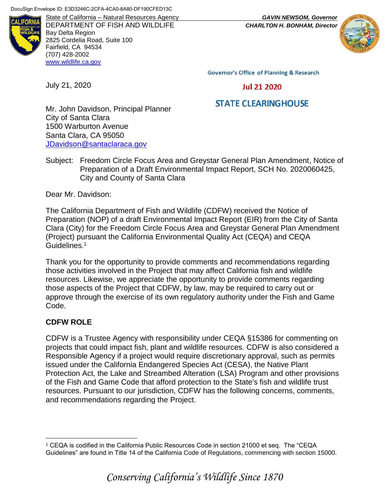

DEPARTMENT OF FISH AND WILDLIFE *CHARLTON H. BONHAM, Director* Bay Delta Region 2825 Cordelia Road, Suite 100 Fairfield, CA 94534 (707) 428-2002 [www.wildlife.ca.gov](http://www.wildlife.ca.gov/)

State of California – Natural Resources Agency *GAVIN NEWSOM, Governor*



**Governor's Office of Planning & Research** 

July 21, 2020

**Jul 21 2020** 

# **STATE CLEARINGHOUSE**

Mr. John Davidson, Principal Planner City of Santa Clara 1500 Warburton Avenue Santa Clara, CA 95050 [JDavidson@santaclaraca.gov](mailto:JDavidson@santaclaraca.gov)

Subject: Freedom Circle Focus Area and Greystar General Plan Amendment, Notice of Preparation of a Draft Environmental Impact Report, SCH No. 2020060425, City and County of Santa Clara

Dear Mr. Davidson:

The California Department of Fish and Wildlife (CDFW) received the Notice of Preparation (NOP) of a draft Environmental Impact Report (EIR) from the City of Santa Clara (City) for the Freedom Circle Focus Area and Greystar General Plan Amendment (Project) pursuant the California Environmental Quality Act (CEQA) and CEQA Guidelines.<sup>1</sup>

Thank you for the opportunity to provide comments and recommendations regarding those activities involved in the Project that may affect California fish and wildlife resources. Likewise, we appreciate the opportunity to provide comments regarding those aspects of the Project that CDFW, by law, may be required to carry out or approve through the exercise of its own regulatory authority under the Fish and Game Code.

## **CDFW ROLE**

CDFW is a Trustee Agency with responsibility under CEQA §15386 for commenting on projects that could impact fish, plant and wildlife resources. CDFW is also considered a Responsible Agency if a project would require discretionary approval, such as permits issued under the California Endangered Species Act (CESA), the Native Plant Protection Act, the Lake and Streambed Alteration (LSA) Program and other provisions of the Fish and Game Code that afford protection to the State's fish and wildlife trust resources. Pursuant to our jurisdiction, CDFW has the following concerns, comments, and recommendations regarding the Project.

 $\overline{a}$ <sup>1</sup> CEQA is codified in the California Public Resources Code in section 21000 et seq. The "CEQA Guidelines" are found in Title 14 of the California Code of Regulations, commencing with section 15000.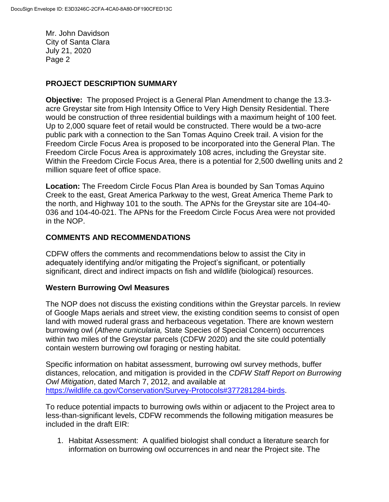#### **PROJECT DESCRIPTION SUMMARY**

**Objective:** The proposed Project is a General Plan Amendment to change the 13.3 acre Greystar site from High Intensity Office to Very High Density Residential. There would be construction of three residential buildings with a maximum height of 100 feet. Up to 2,000 square feet of retail would be constructed. There would be a two-acre public park with a connection to the San Tomas Aquino Creek trail. A vision for the Freedom Circle Focus Area is proposed to be incorporated into the General Plan. The Freedom Circle Focus Area is approximately 108 acres, including the Greystar site. Within the Freedom Circle Focus Area, there is a potential for 2,500 dwelling units and 2 million square feet of office space.

**Location:** The Freedom Circle Focus Plan Area is bounded by San Tomas Aquino Creek to the east, Great America Parkway to the west, Great America Theme Park to the north, and Highway 101 to the south. The APNs for the Greystar site are 104-40- 036 and 104-40-021. The APNs for the Freedom Circle Focus Area were not provided in the NOP.

#### **COMMENTS AND RECOMMENDATIONS**

CDFW offers the comments and recommendations below to assist the City in adequately identifying and/or mitigating the Project's significant, or potentially significant, direct and indirect impacts on fish and wildlife (biological) resources.

#### **Western Burrowing Owl Measures**

The NOP does not discuss the existing conditions within the Greystar parcels. In review of Google Maps aerials and street view, the existing condition seems to consist of open land with mowed ruderal grass and herbaceous vegetation. There are known western burrowing owl (*Athene cunicularia,* State Species of Special Concern) occurrences within two miles of the Greystar parcels (CDFW 2020) and the site could potentially contain western burrowing owl foraging or nesting habitat.

Specific information on habitat assessment, burrowing owl survey methods, buffer distances, relocation, and mitigation is provided in the *CDFW Staff Report on Burrowing Owl Mitigation*, dated March 7, 2012, and available at [https://wildlife.ca.gov/Conservation/Survey-Protocols#377281284-birds.](https://wildlife.ca.gov/Conservation/Survey-Protocols#377281284-birds)

To reduce potential impacts to burrowing owls within or adjacent to the Project area to less-than-significant levels, CDFW recommends the following mitigation measures be included in the draft EIR:

1. Habitat Assessment: A qualified biologist shall conduct a literature search for information on burrowing owl occurrences in and near the Project site. The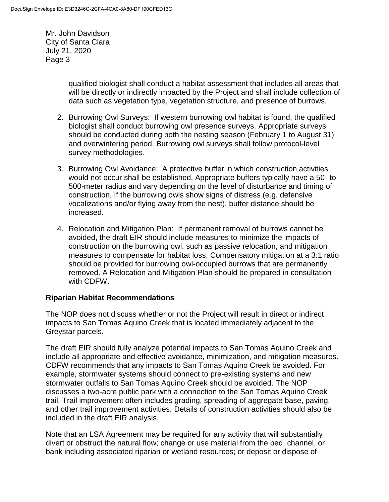> qualified biologist shall conduct a habitat assessment that includes all areas that will be directly or indirectly impacted by the Project and shall include collection of data such as vegetation type, vegetation structure, and presence of burrows.

- 2. Burrowing Owl Surveys: If western burrowing owl habitat is found, the qualified biologist shall conduct burrowing owl presence surveys. Appropriate surveys should be conducted during both the nesting season (February 1 to August 31) and overwintering period. Burrowing owl surveys shall follow protocol-level survey methodologies.
- 3. Burrowing Owl Avoidance: A protective buffer in which construction activities would not occur shall be established. Appropriate buffers typically have a 50- to 500-meter radius and vary depending on the level of disturbance and timing of construction. If the burrowing owls show signs of distress (e.g. defensive vocalizations and/or flying away from the nest), buffer distance should be increased.
- 4. Relocation and Mitigation Plan: If permanent removal of burrows cannot be avoided, the draft EIR should include measures to minimize the impacts of construction on the burrowing owl, such as passive relocation, and mitigation measures to compensate for habitat loss. Compensatory mitigation at a 3:1 ratio should be provided for burrowing owl-occupied burrows that are permanently removed. A Relocation and Mitigation Plan should be prepared in consultation with CDFW.

#### **Riparian Habitat Recommendations**

The NOP does not discuss whether or not the Project will result in direct or indirect impacts to San Tomas Aquino Creek that is located immediately adjacent to the Greystar parcels.

The draft EIR should fully analyze potential impacts to San Tomas Aquino Creek and include all appropriate and effective avoidance, minimization, and mitigation measures. CDFW recommends that any impacts to San Tomas Aquino Creek be avoided. For example, stormwater systems should connect to pre-existing systems and new stormwater outfalls to San Tomas Aquino Creek should be avoided. The NOP discusses a two-acre public park with a connection to the San Tomas Aquino Creek trail. Trail improvement often includes grading, spreading of aggregate base, paving, and other trail improvement activities. Details of construction activities should also be included in the draft EIR analysis.

Note that an LSA Agreement may be required for any activity that will substantially divert or obstruct the natural flow; change or use material from the bed, channel, or bank including associated riparian or wetland resources; or deposit or dispose of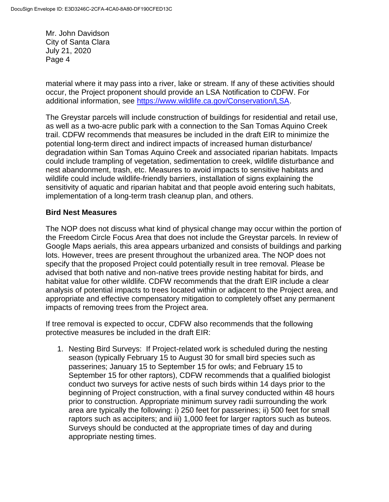material where it may pass into a river, lake or stream. If any of these activities should occur, the Project proponent should provide an LSA Notification to CDFW. For additional information, see [https://www.wildlife.ca.gov/Conservation/LSA.](https://www.wildlife.ca.gov/Conservation/LSA)

The Greystar parcels will include construction of buildings for residential and retail use, as well as a two-acre public park with a connection to the San Tomas Aquino Creek trail. CDFW recommends that measures be included in the draft EIR to minimize the potential long-term direct and indirect impacts of increased human disturbance/ degradation within San Tomas Aquino Creek and associated riparian habitats. Impacts could include trampling of vegetation, sedimentation to creek, wildlife disturbance and nest abandonment, trash, etc. Measures to avoid impacts to sensitive habitats and wildlife could include wildlife-friendly barriers, installation of signs explaining the sensitivity of aquatic and riparian habitat and that people avoid entering such habitats, implementation of a long-term trash cleanup plan, and others.

#### **Bird Nest Measures**

The NOP does not discuss what kind of physical change may occur within the portion of the Freedom Circle Focus Area that does not include the Greystar parcels. In review of Google Maps aerials, this area appears urbanized and consists of buildings and parking lots. However, trees are present throughout the urbanized area. The NOP does not specify that the proposed Project could potentially result in tree removal. Please be advised that both native and non-native trees provide nesting habitat for birds, and habitat value for other wildlife. CDFW recommends that the draft EIR include a clear analysis of potential impacts to trees located within or adjacent to the Project area, and appropriate and effective compensatory mitigation to completely offset any permanent impacts of removing trees from the Project area.

If tree removal is expected to occur, CDFW also recommends that the following protective measures be included in the draft EIR:

1. Nesting Bird Surveys: If Project-related work is scheduled during the nesting season (typically February 15 to August 30 for small bird species such as passerines; January 15 to September 15 for owls; and February 15 to September 15 for other raptors), CDFW recommends that a qualified biologist conduct two surveys for active nests of such birds within 14 days prior to the beginning of Project construction, with a final survey conducted within 48 hours prior to construction. Appropriate minimum survey radii surrounding the work area are typically the following: i) 250 feet for passerines; ii) 500 feet for small raptors such as accipiters; and iii) 1,000 feet for larger raptors such as buteos. Surveys should be conducted at the appropriate times of day and during appropriate nesting times.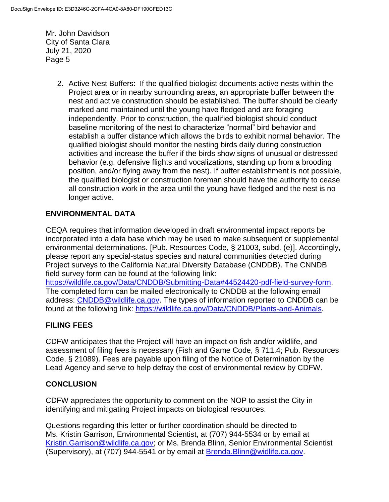> 2. Active Nest Buffers: If the qualified biologist documents active nests within the Project area or in nearby surrounding areas, an appropriate buffer between the nest and active construction should be established. The buffer should be clearly marked and maintained until the young have fledged and are foraging independently. Prior to construction, the qualified biologist should conduct baseline monitoring of the nest to characterize "normal" bird behavior and establish a buffer distance which allows the birds to exhibit normal behavior. The qualified biologist should monitor the nesting birds daily during construction activities and increase the buffer if the birds show signs of unusual or distressed behavior (e.g. defensive flights and vocalizations, standing up from a brooding position, and/or flying away from the nest). If buffer establishment is not possible, the qualified biologist or construction foreman should have the authority to cease all construction work in the area until the young have fledged and the nest is no longer active.

## **ENVIRONMENTAL DATA**

CEQA requires that information developed in draft environmental impact reports be incorporated into a data base which may be used to make subsequent or supplemental environmental determinations. [Pub. Resources Code, § 21003, subd. (e)]. Accordingly, please report any special-status species and natural communities detected during Project surveys to the California Natural Diversity Database (CNDDB). The CNNDB field survey form can be found at the following link:

[https://wildlife.ca.gov/Data/CNDDB/Submitting-Data#44524420-pdf-field-survey-form.](https://wildlife.ca.gov/Data/CNDDB/Submitting-Data#44524420-pdf-field-survey-form) The completed form can be mailed electronically to CNDDB at the following email address: [CNDDB@wildlife.ca.gov.](mailto:cnddb@dfg.ca.gov) The types of information reported to CNDDB can be found at the following link: [https://wildlife.ca.gov/Data/CNDDB/Plants-and-Animals.](https://wildlife.ca.gov/Data/CNDDB/Plants-and-Animals)

## **FILING FEES**

CDFW anticipates that the Project will have an impact on fish and/or wildlife, and assessment of filing fees is necessary (Fish and Game Code, § 711.4; Pub. Resources Code, § 21089). Fees are payable upon filing of the Notice of Determination by the Lead Agency and serve to help defray the cost of environmental review by CDFW.

#### **CONCLUSION**

CDFW appreciates the opportunity to comment on the NOP to assist the City in identifying and mitigating Project impacts on biological resources.

Questions regarding this letter or further coordination should be directed to Ms. Kristin Garrison, Environmental Scientist, at (707) 944-5534 or by email at [Kristin.Garrison@wildlife.ca.gov;](mailto:Kristin.Garrison@wildlife.ca.gov) or Ms. Brenda Blinn, Senior Environmental Scientist (Supervisory), at (707) 944-5541 or by email at [Brenda.Blinn@widlife.ca.gov.](mailto:Brenda.Blinn@widlife.ca.gov)